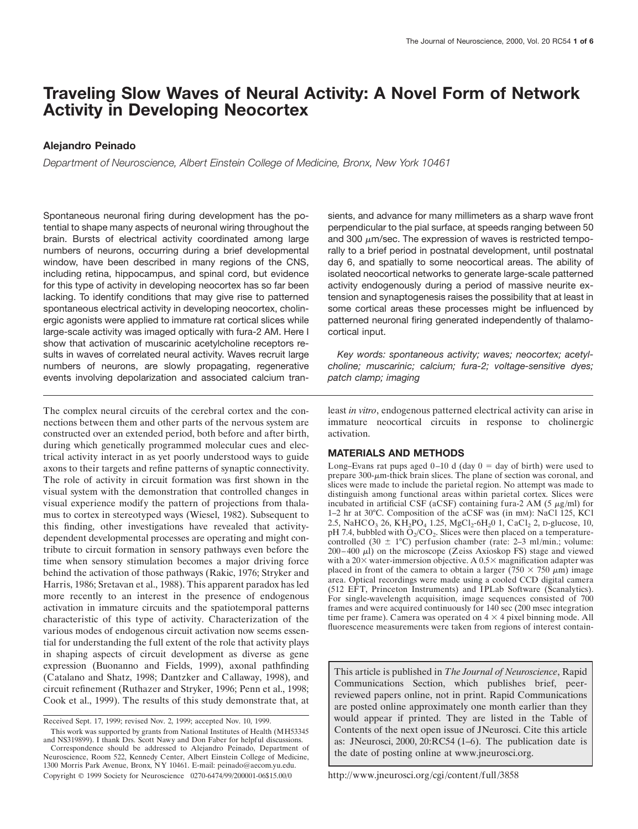# **Traveling Slow Waves of Neural Activity: A Novel Form of Network Activity in Developing Neocortex**

# **Alejandro Peinado**

*Department of Neuroscience, Albert Einstein College of Medicine, Bronx, New York 10461*

Spontaneous neuronal firing during development has the potential to shape many aspects of neuronal wiring throughout the brain. Bursts of electrical activity coordinated among large numbers of neurons, occurring during a brief developmental window, have been described in many regions of the CNS, including retina, hippocampus, and spinal cord, but evidence for this type of activity in developing neocortex has so far been lacking. To identify conditions that may give rise to patterned spontaneous electrical activity in developing neocortex, cholinergic agonists were applied to immature rat cortical slices while large-scale activity was imaged optically with fura-2 AM. Here I show that activation of muscarinic acetylcholine receptors results in waves of correlated neural activity. Waves recruit large numbers of neurons, are slowly propagating, regenerative events involving depolarization and associated calcium tran-

The complex neural circuits of the cerebral cortex and the connections between them and other parts of the nervous system are constructed over an extended period, both before and after birth, during which genetically programmed molecular cues and electrical activity interact in as yet poorly understood ways to guide axons to their targets and refine patterns of synaptic connectivity. The role of activity in circuit formation was first shown in the visual system with the demonstration that controlled changes in visual experience modify the pattern of projections from thalamus to cortex in stereotyped ways (Wiesel, 1982). Subsequent to this finding, other investigations have revealed that activitydependent developmental processes are operating and might contribute to circuit formation in sensory pathways even before the time when sensory stimulation becomes a major driving force behind the activation of those pathways (Rakic, 1976; Stryker and Harris, 1986; Sretavan et al., 1988). This apparent paradox has led more recently to an interest in the presence of endogenous activation in immature circuits and the spatiotemporal patterns characteristic of this type of activity. Characterization of the various modes of endogenous circuit activation now seems essential for understanding the full extent of the role that activity plays in shaping aspects of circuit development as diverse as gene expression (Buonanno and Fields, 1999), axonal pathfinding (Catalano and Shatz, 1998; Dantzker and Callaway, 1998), and circuit refinement (Ruthazer and Stryker, 1996; Penn et al., 1998; Cook et al., 1999). The results of this study demonstrate that, at

sients, and advance for many millimeters as a sharp wave front perpendicular to the pial surface, at speeds ranging between 50 and 300  $\mu$ m/sec. The expression of waves is restricted temporally to a brief period in postnatal development, until postnatal day 6, and spatially to some neocortical areas. The ability of isolated neocortical networks to generate large-scale patterned activity endogenously during a period of massive neurite extension and synaptogenesis raises the possibility that at least in some cortical areas these processes might be influenced by patterned neuronal firing generated independently of thalamocortical input.

*Key words: spontaneous activity; waves; neocortex; acetylcholine; muscarinic; calcium; fura-2; voltage-sensitive dyes; patch clamp; imaging*

least *in vitro*, endogenous patterned electrical activity can arise in immature neocortical circuits in response to cholinergic activation.

# **MATERIALS AND METHODS**

Long–Evans rat pups aged  $0-10$  d (day  $0 =$  day of birth) were used to prepare  $300$ - $\mu$ m-thick brain slices. The plane of section was coronal, and slices were made to include the parietal region. No attempt was made to distinguish among functional areas within parietal cortex. Slices were incubated in artificial CSF (aCSF) containing fura-2 AM (5  $\mu$ g/ml) for 1–2 hr at 30°C. Composition of the aCSF was (in mM): NaCl 125, KCl 2.5, NaHCO<sub>3</sub> 26, KH<sub>2</sub>PO<sub>4</sub> 1.25, MgCl<sub>2</sub>-6H<sub>2</sub>0 1, CaCl<sub>2</sub> 2, p-glucose, 10, pH 7.4, bubbled with  $O_2/CO_2$ . Slices were then placed on a temperaturecontrolled (30  $\pm$  1°C) perfusion chamber (rate: 2–3 ml/min.; volume:  $200-400 \mu l$ ) on the microscope (Zeiss Axioskop FS) stage and viewed with a  $20\times$  water-immersion objective. A  $0.5\times$  magnification adapter was placed in front of the camera to obtain a larger (750  $\times$  750  $\mu$ m) image area. Optical recordings were made using a cooled CCD digital camera (512 EFT, Princeton Instruments) and IPLab Software (Scanalytics). For single-wavelength acquisition, image sequences consisted of 700 frames and were acquired continuously for 140 sec (200 msec integration time per frame). Camera was operated on  $4 \times 4$  pixel binning mode. All fluorescence measurements were taken from regions of interest contain-

This article is published in *The Journal of Neuroscience*, Rapid Communications Section, which publishes brief, peerreviewed papers online, not in print. Rapid Communications are posted online approximately one month earlier than they would appear if printed. They are listed in the Table of Contents of the next open issue of JNeurosci. Cite this article as: JNeurosci, 2000, 20:RC54 (1–6). The publication date is the date of posting online at www.jneurosci.org.

http://www.jneurosci.org/cgi/content/full/3858

Received Sept. 17, 1999; revised Nov. 2, 1999; accepted Nov. 10, 1999.

This work was supported by grants from National Institutes of Health (MH53345 and NS319899). I thank Drs. Scott Nawy and Don Faber for helpful discussions.

Correspondence should be addressed to Alejandro Peinado, Department of Neuroscience, Room 522, Kennedy Center, Albert Einstein College of Medicine, 1300 Morris Park Avenue, Bronx, NY 10461. E-mail: peinado@aecom.yu.edu. Copyright © 1999 Society for Neuroscience 0270-6474/99/200001-06\$15.00/0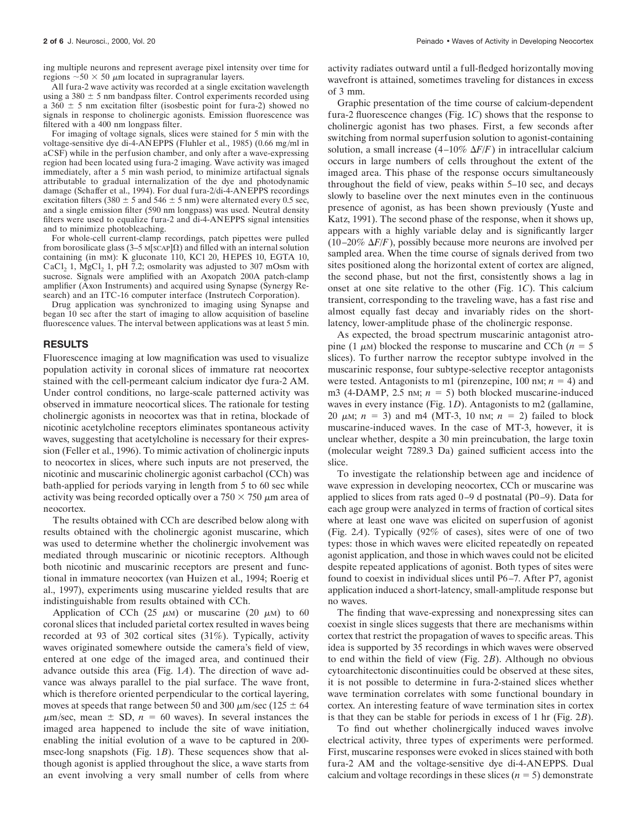All fura-2 wave activity was recorded at a single excitation wavelength using a  $380 \pm 5$  nm bandpass filter. Control experiments recorded using a  $360 \pm 5$  nm excitation filter (isosbestic point for fura-2) showed no signals in response to cholinergic agonists. Emission fluorescence was filtered with a 400 nm longpass filter.

For imaging of voltage signals, slices were stained for 5 min with the voltage-sensitive dye di-4-ANEPPS (Fluhler et al., 1985) (0.66 mg/ml in aCSF) while in the perfusion chamber, and only after a wave-expressing region had been located using fura-2 imaging. Wave activity was imaged immediately, after a 5 min wash period, to minimize artifactual signals attributable to gradual internalization of the dye and photodynamic damage (Schaffer et al., 1994). For dual fura-2/di-4-ANEPPS recordings excitation filters (380  $\pm$  5 and 546  $\pm$  5 nm) were alternated every 0.5 sec, and a single emission filter (590 nm longpass) was used. Neutral density filters were used to equalize fura-2 and di-4-ANEPPS signal intensities and to minimize photobleaching.

For whole-cell current-clamp recordings, patch pipettes were pulled from borosilicate glass (3–5 M[SCAP] $\Omega$ ) and filled with an internal solution containing (in mM): K gluconate 110, KCl 20, HEPES 10, EGTA 10, CaCl<sub>2</sub> 1, MgCl<sub>2</sub> 1, pH 7.2; osmolarity was adjusted to 307 mOsm with sucrose. Signals were amplified with an Axopatch 200A patch-clamp amplifier (Axon Instruments) and acquired using Synapse (Synergy Research) and an ITC-16 computer interface (Instrutech Corporation).

Drug application was synchronized to imaging using Synapse and began 10 sec after the start of imaging to allow acquisition of baseline fluorescence values. The interval between applications was at least 5 min.

#### **RESULTS**

Fluorescence imaging at low magnification was used to visualize population activity in coronal slices of immature rat neocortex stained with the cell-permeant calcium indicator dye fura-2 AM. Under control conditions, no large-scale patterned activity was observed in immature neocortical slices. The rationale for testing cholinergic agonists in neocortex was that in retina, blockade of nicotinic acetylcholine receptors eliminates spontaneous activity waves, suggesting that acetylcholine is necessary for their expression (Feller et al., 1996). To mimic activation of cholinergic inputs to neocortex in slices, where such inputs are not preserved, the nicotinic and muscarinic cholinergic agonist carbachol (CCh) was bath-applied for periods varying in length from 5 to 60 sec while activity was being recorded optically over a  $750 \times 750 \mu$ m area of neocortex.

The results obtained with CCh are described below along with results obtained with the cholinergic agonist muscarine, which was used to determine whether the cholinergic involvement was mediated through muscarinic or nicotinic receptors. Although both nicotinic and muscarinic receptors are present and functional in immature neocortex (van Huizen et al., 1994; Roerig et al., 1997), experiments using muscarine yielded results that are indistinguishable from results obtained with CCh.

Application of CCh (25  $\mu$ M) or muscarine (20  $\mu$ M) to 60 coronal slices that included parietal cortex resulted in waves being recorded at 93 of 302 cortical sites (31%). Typically, activity waves originated somewhere outside the camera's field of view, entered at one edge of the imaged area, and continued their advance outside this area (Fig. 1*A*). The direction of wave advance was always parallel to the pial surface. The wave front, which is therefore oriented perpendicular to the cortical layering, moves at speeds that range between 50 and 300  $\mu$ m/sec (125  $\pm$  64  $\mu$ m/sec, mean  $\pm$  SD,  $n = 60$  waves). In several instances the imaged area happened to include the site of wave initiation, enabling the initial evolution of a wave to be captured in 200 msec-long snapshots (Fig. 1*B*). These sequences show that although agonist is applied throughout the slice, a wave starts from an event involving a very small number of cells from where

activity radiates outward until a full-fledged horizontally moving wavefront is attained, sometimes traveling for distances in excess of 3 mm.

Graphic presentation of the time course of calcium-dependent fura-2 fluorescence changes (Fig. 1*C*) shows that the response to cholinergic agonist has two phases. First, a few seconds after switching from normal superfusion solution to agonist-containing solution, a small increase  $(4-10\% \Delta F/F)$  in intracellular calcium occurs in large numbers of cells throughout the extent of the imaged area. This phase of the response occurs simultaneously throughout the field of view, peaks within 5–10 sec, and decays slowly to baseline over the next minutes even in the continuous presence of agonist, as has been shown previously (Yuste and Katz, 1991). The second phase of the response, when it shows up, appears with a highly variable delay and is significantly larger  $(10-20\% \Delta F/F)$ , possibly because more neurons are involved per sampled area. When the time course of signals derived from two sites positioned along the horizontal extent of cortex are aligned, the second phase, but not the first, consistently shows a lag in onset at one site relative to the other (Fig. 1*C*). This calcium transient, corresponding to the traveling wave, has a fast rise and almost equally fast decay and invariably rides on the shortlatency, lower-amplitude phase of the cholinergic response.

As expected, the broad spectrum muscarinic antagonist atropine (1  $\mu$ M) blocked the response to muscarine and CCh ( $n = 5$ ) slices). To further narrow the receptor subtype involved in the muscarinic response, four subtype-selective receptor antagonists were tested. Antagonists to m1 (pirenzepine,  $100 \text{ nm}$ ;  $n = 4$ ) and m3 (4-DAMP, 2.5 nm;  $n = 5$ ) both blocked muscarine-induced waves in every instance (Fig. 1*D*). Antagonists to m2 (gallamine, 20  $\mu$ M;  $n = 3$ ) and m4 (MT-3, 10 nM;  $n = 2$ ) failed to block muscarine-induced waves. In the case of MT-3, however, it is unclear whether, despite a 30 min preincubation, the large toxin (molecular weight 7289.3 Da) gained sufficient access into the slice.

To investigate the relationship between age and incidence of wave expression in developing neocortex, CCh or muscarine was applied to slices from rats aged 0–9 d postnatal (P0–9). Data for each age group were analyzed in terms of fraction of cortical sites where at least one wave was elicited on superfusion of agonist (Fig. 2*A*). Typically (92% of cases), sites were of one of two types: those in which waves were elicited repeatedly on repeated agonist application, and those in which waves could not be elicited despite repeated applications of agonist. Both types of sites were found to coexist in individual slices until P6–7. After P7, agonist application induced a short-latency, small-amplitude response but no waves.

The finding that wave-expressing and nonexpressing sites can coexist in single slices suggests that there are mechanisms within cortex that restrict the propagation of waves to specific areas. This idea is supported by 35 recordings in which waves were observed to end within the field of view (Fig. 2*B*). Although no obvious cytoarchitectonic discontinuities could be observed at these sites, it is not possible to determine in fura-2-stained slices whether wave termination correlates with some functional boundary in cortex. An interesting feature of wave termination sites in cortex is that they can be stable for periods in excess of 1 hr (Fig. 2*B*).

To find out whether cholinergically induced waves involve electrical activity, three types of experiments were performed. First, muscarine responses were evoked in slices stained with both fura-2 AM and the voltage-sensitive dye di-4-ANEPPS. Dual calcium and voltage recordings in these slices  $(n = 5)$  demonstrate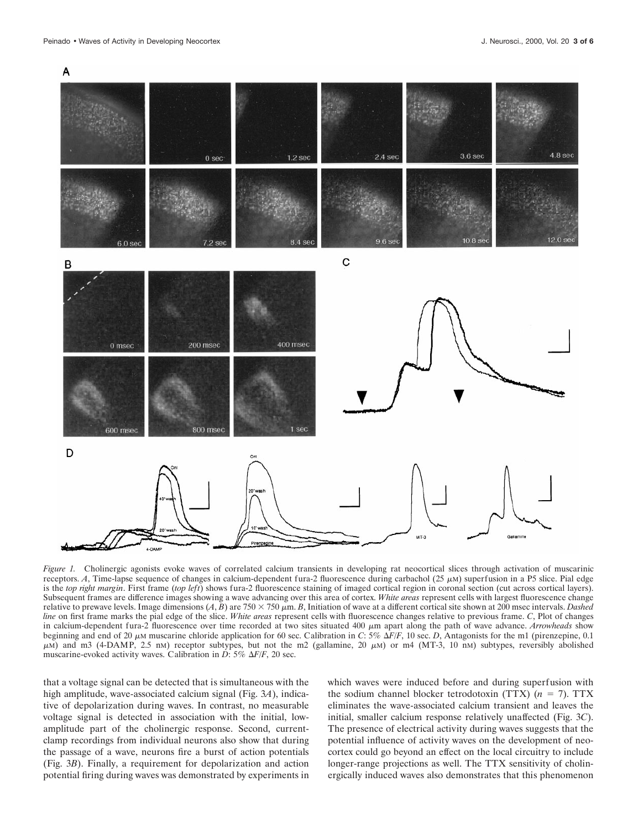

*Figure 1.* Cholinergic agonists evoke waves of correlated calcium transients in developing rat neocortical slices through activation of muscarinic receptors. *A*, Time-lapse sequence of changes in calcium-dependent fura-2 fluorescence during carbachol ( $25 \mu M$ ) superfusion in a P5 slice. Pial edge is the *top right margin*. First frame (*top left*) shows fura-2 fluorescence staining of imaged cortical region in coronal section (cut across cortical layers). Subsequent frames are difference images showing a wave advancing over this area of cortex. *White areas* represent cells with largest fluorescence change relative to prewave levels. Image dimensions  $(A, B)$  are 750  $\times$  750  $\mu$ m. *B*, Initiation of wave at a different cortical site shown at 200 msec intervals. *Dashed line* on first frame marks the pial edge of the slice. *White areas* represent cells with fluorescence changes relative to previous frame. *C*, Plot of changes in calcium-dependent fura-2 fluorescence over time recorded at two sites situated 400  $\mu$ m apart along the path of wave advance. *Arrowheads* show beginning and end of 20  $\mu$ M muscarine chloride application for 60 sec. Calibration in *C*: 5%  $\Delta F/F$ , 10 sec. *D*, Antagonists for the m1 (pirenzepine, 0.1  $\mu$ M) and m3 (4-DAMP, 2.5 nM) receptor subtypes, but not the m2 (gallamine, 20  $\mu$ M) or m4 (MT-3, 10 nM) subtypes, reversibly abolished muscarine-evoked activity waves. Calibration in *D*: 5%  $\Delta F/F$ , 20 sec.

that a voltage signal can be detected that is simultaneous with the high amplitude, wave-associated calcium signal (Fig. 3*A*), indicative of depolarization during waves. In contrast, no measurable voltage signal is detected in association with the initial, lowamplitude part of the cholinergic response. Second, currentclamp recordings from individual neurons also show that during the passage of a wave, neurons fire a burst of action potentials (Fig. 3*B*). Finally, a requirement for depolarization and action potential firing during waves was demonstrated by experiments in which waves were induced before and during superfusion with the sodium channel blocker tetrodotoxin (TTX)  $(n = 7)$ . TTX eliminates the wave-associated calcium transient and leaves the initial, smaller calcium response relatively unaffected (Fig. 3*C*). The presence of electrical activity during waves suggests that the potential influence of activity waves on the development of neocortex could go beyond an effect on the local circuitry to include longer-range projections as well. The TTX sensitivity of cholinergically induced waves also demonstrates that this phenomenon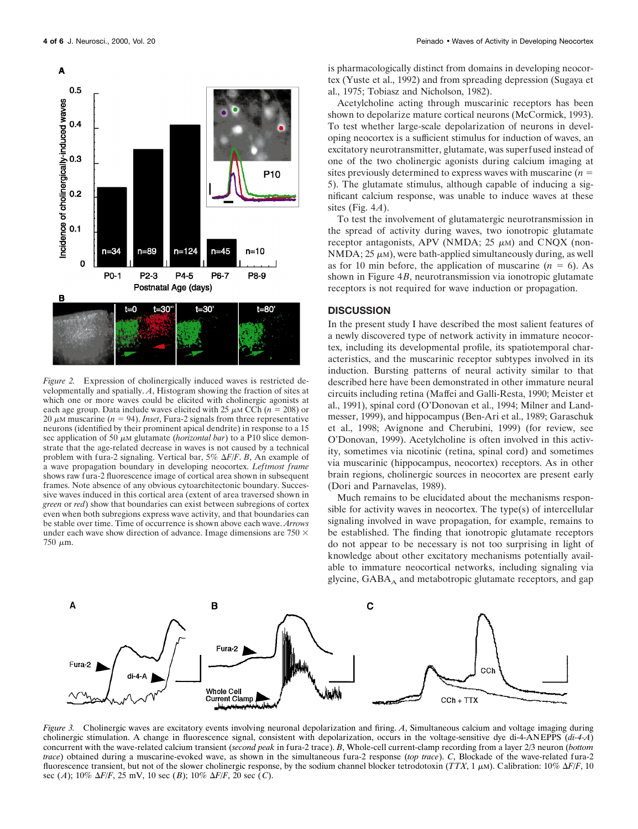

*Figure 2.* Expression of cholinergically induced waves is restricted developmentally and spatially. *A*, Histogram showing the fraction of sites at which one or more waves could be elicited with cholinergic agonists at each age group. Data include waves elicited with 25  $\mu$ M CCh ( $n = 208$ ) or 20  $\mu$ M muscarine ( $n = 94$ ). *Inset*, Fura-2 signals from three representative neurons (identified by their prominent apical dendrite) in response to a 15 sec application of 50  $\mu$ M glutamate (*horizontal bar*) to a P10 slice demonstrate that the age-related decrease in waves is not caused by a technical problem with fura-2 signaling. Vertical bar,  $5\%$   $\Delta F/F$ . *B*, An example of a wave propagation boundary in developing neocortex. *Leftmost frame* shows raw fura-2 fluorescence image of cortical area shown in subsequent frames. Note absence of any obvious cytoarchitectonic boundary. Successive waves induced in this cortical area (extent of area traversed shown in *green* or *red*) show that boundaries can exist between subregions of cortex even when both subregions express wave activity, and that boundaries can be stable over time. Time of occurrence is shown above each wave. *Arrows* under each wave show direction of advance. Image dimensions are 750  $\times$  $750 \mu m$ .

is pharmacologically distinct from domains in developing neocortex (Yuste et al., 1992) and from spreading depression (Sugaya et al., 1975; Tobiasz and Nicholson, 1982).

Acetylcholine acting through muscarinic receptors has been shown to depolarize mature cortical neurons (McCormick, 1993). To test whether large-scale depolarization of neurons in developing neocortex is a sufficient stimulus for induction of waves, an excitatory neurotransmitter, glutamate, was superfused instead of one of the two cholinergic agonists during calcium imaging at sites previously determined to express waves with muscarine  $(n =$ 5). The glutamate stimulus, although capable of inducing a significant calcium response, was unable to induce waves at these sites (Fig. 4*A*).

To test the involvement of glutamatergic neurotransmission in the spread of activity during waves, two ionotropic glutamate receptor antagonists, APV (NMDA;  $25 \mu M$ ) and CNQX (non-NMDA;  $25 \mu$ M), were bath-applied simultaneously during, as well as for 10 min before, the application of muscarine  $(n = 6)$ . As shown in Figure 4*B*, neurotransmission via ionotropic glutamate receptors is not required for wave induction or propagation.

## **DISCUSSION**

In the present study I have described the most salient features of a newly discovered type of network activity in immature neocortex, including its developmental profile, its spatiotemporal characteristics, and the muscarinic receptor subtypes involved in its induction. Bursting patterns of neural activity similar to that described here have been demonstrated in other immature neural circuits including retina (Maffei and Galli-Resta, 1990; Meister et al., 1991), spinal cord (O'Donovan et al., 1994; Milner and Landmesser, 1999), and hippocampus (Ben-Ari et al., 1989; Garaschuk et al., 1998; Avignone and Cherubini, 1999) (for review, see O'Donovan, 1999). Acetylcholine is often involved in this activity, sometimes via nicotinic (retina, spinal cord) and sometimes via muscarinic (hippocampus, neocortex) receptors. As in other brain regions, cholinergic sources in neocortex are present early (Dori and Parnavelas, 1989).

Much remains to be elucidated about the mechanisms responsible for activity waves in neocortex. The type(s) of intercellular signaling involved in wave propagation, for example, remains to be established. The finding that ionotropic glutamate receptors do not appear to be necessary is not too surprising in light of knowledge about other excitatory mechanisms potentially available to immature neocortical networks, including signaling via glycine,  $GABA_A$  and metabotropic glutamate receptors, and gap



*Figure 3.* Cholinergic waves are excitatory events involving neuronal depolarization and firing. *A*, Simultaneous calcium and voltage imaging during cholinergic stimulation. A change in fluorescence signal, consistent with depolarization, occurs in the voltage-sensitive dye di-4-ANEPPS (*di-4-A*) concurrent with the wave-related calcium transient (*second peak* in fura-2 trace). *B*, Whole-cell current-clamp recording from a layer 2/3 neuron (*bottom trace*) obtained during a muscarine-evoked wave, as shown in the simultaneous fura-2 response (*top trace*). *C*, Blockade of the wave-related fura-2 fluorescence transient, but not of the slower cholinergic response, by the sodium channel blocker tetrodotoxin (*TTX*, 1  $\mu$ M). Calibration: 10%  $\Delta F/F$ , 10 sec (*A*); 10%  $\Delta F/F$ , 25 mV, 10 sec (*B*); 10%  $\Delta F/F$ , 20 sec (*C*).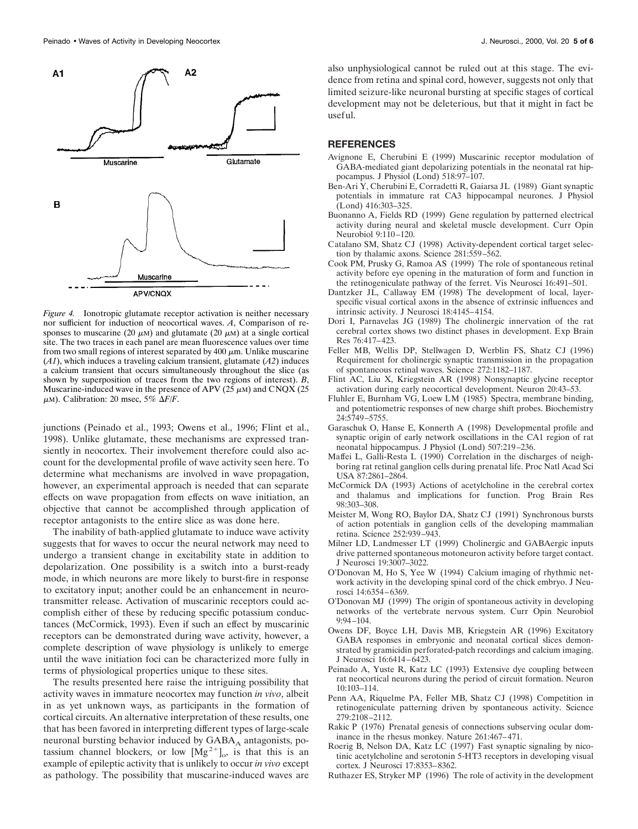

*Figure 4.* Ionotropic glutamate receptor activation is neither necessary nor sufficient for induction of neocortical waves. *A*, Comparison of responses to muscarine (20  $\mu$ M) and glutamate (20  $\mu$ M) at a single cortical site. The two traces in each panel are mean fluorescence values over time from two small regions of interest separated by 400  $\mu$ m. Unlike muscarine (*A1*), which induces a traveling calcium transient, glutamate (*A2*) induces a calcium transient that occurs simultaneously throughout the slice (as shown by superposition of traces from the two regions of interest). *B*, Muscarine-induced wave in the presence of APV ( $25 \mu$ M) and CNQX ( $25 \mu$  $\mu$ M). Calibration: 20 msec, 5%  $\Delta F/F$ .

junctions (Peinado et al., 1993; Owens et al., 1996; Flint et al., 1998). Unlike glutamate, these mechanisms are expressed transiently in neocortex. Their involvement therefore could also account for the developmental profile of wave activity seen here. To determine what mechanisms are involved in wave propagation, however, an experimental approach is needed that can separate effects on wave propagation from effects on wave initiation, an objective that cannot be accomplished through application of receptor antagonists to the entire slice as was done here.

The inability of bath-applied glutamate to induce wave activity suggests that for waves to occur the neural network may need to undergo a transient change in excitability state in addition to depolarization. One possibility is a switch into a burst-ready mode, in which neurons are more likely to burst-fire in response to excitatory input; another could be an enhancement in neurotransmitter release. Activation of muscarinic receptors could accomplish either of these by reducing specific potassium conductances (McCormick, 1993). Even if such an effect by muscarinic receptors can be demonstrated during wave activity, however, a complete description of wave physiology is unlikely to emerge until the wave initiation foci can be characterized more fully in terms of physiological properties unique to these sites.

The results presented here raise the intriguing possibility that activity waves in immature neocortex may function *in vivo*, albeit in as yet unknown ways, as participants in the formation of cortical circuits. An alternative interpretation of these results, one that has been favored in interpreting different types of large-scale neuronal bursting behavior induced by  $GABA_A$  antagonists, potassium channel blockers, or low  $[Mg^{2+}]_{o}$ , is that this is an example of epileptic activity that is unlikely to occur *in vivo* except as pathology. The possibility that muscarine-induced waves are also unphysiological cannot be ruled out at this stage. The evidence from retina and spinal cord, however, suggests not only that limited seizure-like neuronal bursting at specific stages of cortical development may not be deleterious, but that it might in fact be useful.

## **REFERENCES**

- Avignone E, Cherubini E (1999) Muscarinic receptor modulation of GABA-mediated giant depolarizing potentials in the neonatal rat hippocampus. J Physiol (Lond) 518:97–107.
- Ben-Ari Y, Cherubini E, Corradetti R, Gaiarsa JL (1989) Giant synaptic potentials in immature rat CA3 hippocampal neurones. J Physiol (Lond) 416:303–325.
- Buonanno A, Fields RD (1999) Gene regulation by patterned electrical activity during neural and skeletal muscle development. Curr Opin Neurobiol 9:110–120.
- Catalano SM, Shatz CJ (1998) Activity-dependent cortical target selection by thalamic axons. Science 281:559–562.
- Cook PM, Prusky G, Ramoa AS (1999) The role of spontaneous retinal activity before eye opening in the maturation of form and function in the retinogeniculate pathway of the ferret. Vis Neurosci 16:491–501.
- Dantzker JL, Callaway EM (1998) The development of local, layerspecific visual cortical axons in the absence of extrinsic influences and intrinsic activity. J Neurosci 18:4145–4154.
- Dori I, Parnavelas JG (1989) The cholinergic innervation of the rat cerebral cortex shows two distinct phases in development. Exp Brain Res 76:417–423.
- Feller MB, Wellis DP, Stellwagen D, Werblin FS, Shatz CJ (1996) Requirement for cholinergic synaptic transmission in the propagation of spontaneous retinal waves. Science 272:1182–1187.
- Flint AC, Liu X, Kriegstein AR (1998) Nonsynaptic glycine receptor activation during early neocortical development. Neuron 20:43–53.
- Fluhler E, Burnham VG, Loew LM (1985) Spectra, membrane binding, and potentiometric responses of new charge shift probes. Biochemistry 24:5749–5755.
- Garaschuk O, Hanse E, Konnerth A (1998) Developmental profile and synaptic origin of early network oscillations in the CA1 region of rat neonatal hippocampus. J Physiol (Lond) 507:219–236.
- Maffei L, Galli-Resta L (1990) Correlation in the discharges of neighboring rat retinal ganglion cells during prenatal life. Proc Natl Acad Sci USA 87:2861–2864.
- McCormick DA (1993) Actions of acetylcholine in the cerebral cortex and thalamus and implications for function. Prog Brain Res 98:303–308.
- Meister M, Wong RO, Baylor DA, Shatz CJ (1991) Synchronous bursts of action potentials in ganglion cells of the developing mammalian retina. Science 252:939–943.
- Milner LD, Landmesser LT (1999) Cholinergic and GABAergic inputs drive patterned spontaneous motoneuron activity before target contact. J Neurosci 19:3007–3022.
- O'Donovan M, Ho S, Yee W (1994) Calcium imaging of rhythmic network activity in the developing spinal cord of the chick embryo. J Neurosci 14:6354–6369.
- O'Donovan MJ (1999) The origin of spontaneous activity in developing networks of the vertebrate nervous system. Curr Opin Neurobiol 9:94–104.
- Owens DF, Boyce LH, Davis MB, Kriegstein AR (1996) Excitatory GABA responses in embryonic and neonatal cortical slices demonstrated by gramicidin perforated-patch recordings and calcium imaging. J Neurosci 16:6414–6423.
- Peinado A, Yuste R, Katz LC (1993) Extensive dye coupling between rat neocortical neurons during the period of circuit formation. Neuron 10:103–114.
- Penn AA, Riquelme PA, Feller MB, Shatz CJ (1998) Competition in retinogeniculate patterning driven by spontaneous activity. Science 279:2108–2112.
- Rakic P (1976) Prenatal genesis of connections subserving ocular dominance in the rhesus monkey. Nature 261:467–471.
- Roerig B, Nelson DA, Katz LC (1997) Fast synaptic signaling by nicotinic acetylcholine and serotonin 5-HT3 receptors in developing visual cortex. J Neurosci 17:8353–8362.
- Ruthazer ES, Stryker MP (1996) The role of activity in the development